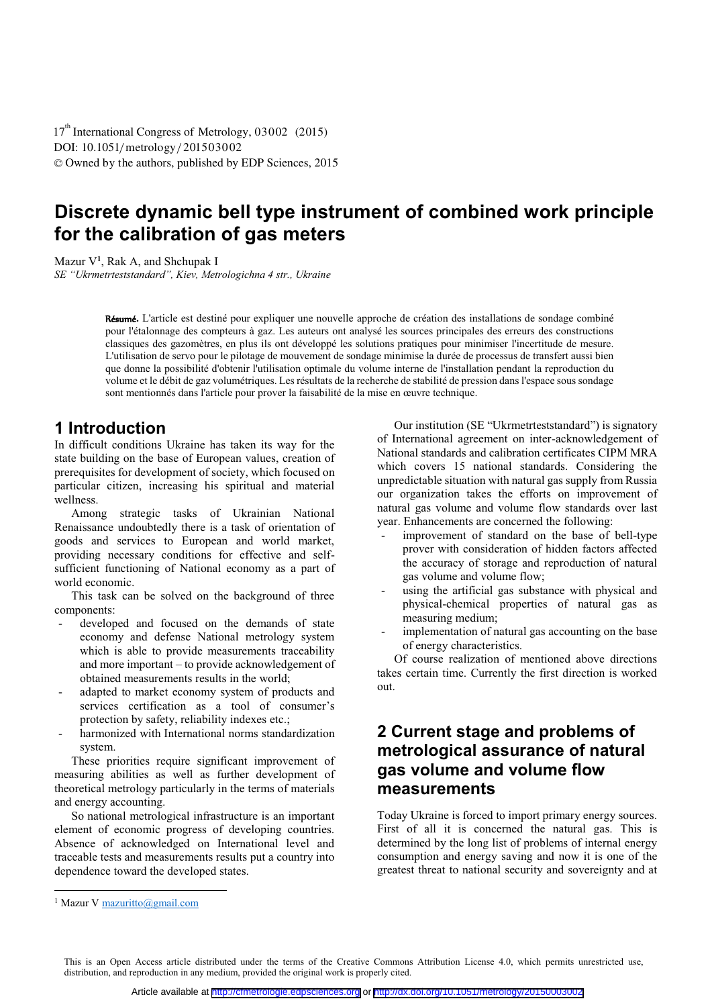DOI: 10.1051/metrology/201503002 -<sup>C</sup> Owned by the authors, published by EDP Sciences, 2015 17<sup>th</sup> International Congress of Metrology, 03002 (2015)

# **Discrete dynamic bell type instrument of combined work principle for the calibration of gas meters**

Mazur V**1** , Rak A, and Shchupak I

*SE "Ukrmetrteststandard", Kiev, Metrologichna 4 str., Ukraine* 

Résumé**.** L'article est destiné pour expliquer une nouvelle approche de création des installations de sondage combiné pour l'étalonnage des compteurs à gaz. Les auteurs ont analysé les sources principales des erreurs des constructions classiques des gazomètres, en plus ils ont développé les solutions pratiques pour minimiser l'incertitude de mesure. L'utilisation de servo pour le pilotage de mouvement de sondage minimise la durée de processus de transfert aussi bien que donne la possibilité d'obtenir l'utilisation optimale du volume interne de l'installation pendant la reproduction du volume et le débit de gaz volumétriques. Les résultats de la recherche de stabilité de pression dans l'espace sous sondage sont mentionnés dans l'article pour prover la faisabilité de la mise en œuvre technique.

### **1** Introduction

In difficult conditions Ukraine has taken its way for the state building on the base of European values, creation of prerequisites for development of society, which focused on particular citizen, increasing his spiritual and material wellness.

Among strategic tasks of Ukrainian National Renaissance undoubtedly there is a task of orientation of goods and services to European and world market, providing necessary conditions for effective and selfsufficient functioning of National economy as a part of world economic.

This task can be solved on the background of three components:

- developed and focused on the demands of state economy and defense National metrology system which is able to provide measurements traceability and more important – to provide acknowledgement of obtained measurements results in the world;
- adapted to market economy system of products and services certification as a tool of consumer's protection by safety, reliability indexes etc.;
- harmonized with International norms standardization system.

These priorities require significant improvement of measuring abilities as well as further development of theoretical metrology particularly in the terms of materials and energy accounting.

So national metrological infrastructure is an important element of economic progress of developing countries. Absence of acknowledged on International level and traceable tests and measurements results put a country into dependence toward the developed states.

Our institution (SE "Ukrmetrteststandard") is signatory of International agreement on inter-acknowledgement of National standards and calibration certificates CIPM MRA which covers 15 national standards. Considering the unpredictable situation with natural gas supply from Russia our organization takes the efforts on improvement of natural gas volume and volume flow standards over last year. Enhancements are concerned the following:

- improvement of standard on the base of bell-type prover with consideration of hidden factors affected the accuracy of storage and reproduction of natural gas volume and volume flow;
- using the artificial gas substance with physical and physical-chemical properties of natural gas as measuring medium;
- implementation of natural gas accounting on the base of energy characteristics.

Of course realization of mentioned above directions takes certain time. Currently the first direction is worked out.

# **2 Current stage and problems of metrological assurance of natural gas volume and volume flow measurements**

Today Ukraine is forced to import primary energy sources. First of all it is concerned the natural gas. This is determined by the long list of problems of internal energy consumption and energy saving and now it is one of the greatest threat to national security and sovereignty and at

l

This is an Open Access article distributed under the terms of the Creative Commons Attribution License 4.0, which permits unrestricted use, distribution, and reproduction in any medium, provided the original work is properly cited.

<sup>&</sup>lt;sup>1</sup> Mazur V mazuritto@gmail.com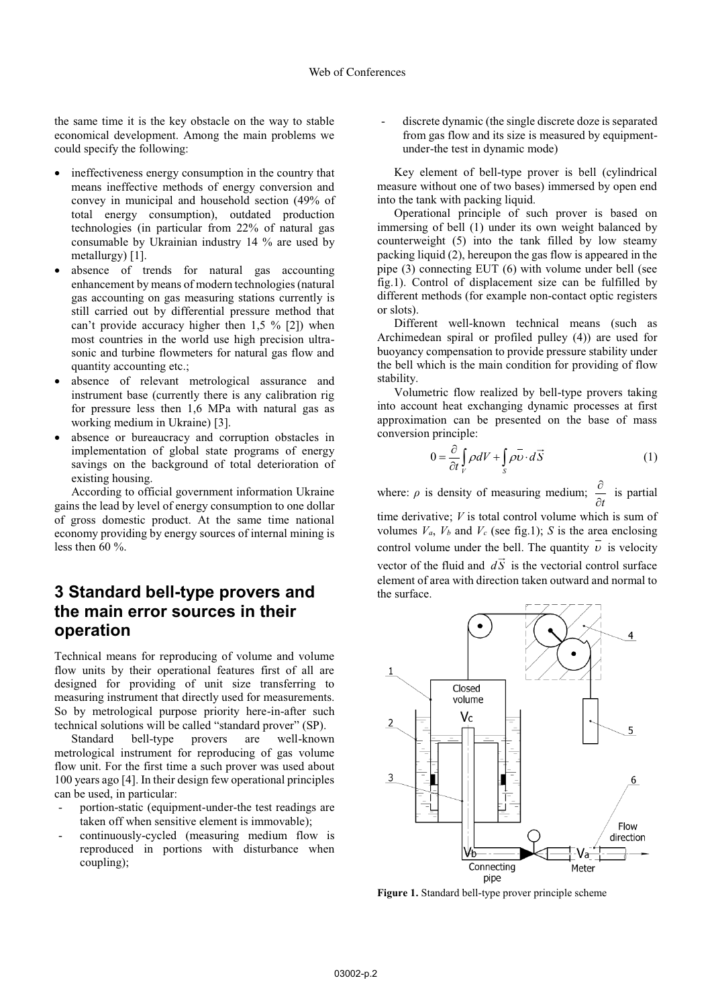the same time it is the key obstacle on the way to stable economical development. Among the main problems we could specify the following:

- $\bullet$  ineffectiveness energy consumption in the country that means ineffective methods of energy conversion and convey in municipal and household section (49% of total energy consumption), outdated production technologies (in particular from 22% of natural gas consumable by Ukrainian industry 14 % are used by metallurgy) [1].
- $\bullet$  absence of trends for natural gas accounting enhancement by means of modern technologies (natural gas accounting on gas measuring stations currently is still carried out by differential pressure method that can't provide accuracy higher then  $1.5 \%$  [2]) when most countries in the world use high precision ultrasonic and turbine flowmeters for natural gas flow and quantity accounting etc.;
- $\bullet$  absence of relevant metrological assurance and instrument base (currently there is any calibration rig for pressure less then 1,6 MPa with natural gas as working medium in Ukraine) [3].
- $\bullet$  absence or bureaucracy and corruption obstacles in implementation of global state programs of energy savings on the background of total deterioration of existing housing.

According to official government information Ukraine gains the lead by level of energy consumption to one dollar of gross domestic product. At the same time national economy providing by energy sources of internal mining is less then 60 %.

# **3 Standard bell-type provers and the main error sources in their operation**

Technical means for reproducing of volume and volume flow units by their operational features first of all are designed for providing of unit size transferring to measuring instrument that directly used for measurements. So by metrological purpose priority here-in-after such technical solutions will be called "standard prover" (SP).

Standard bell-type provers are well-known metrological instrument for reproducing of gas volume flow unit. For the first time a such prover was used about 100 years ago [4]. In their design few operational principles can be used, in particular:

- portion-static (equipment-under-the test readings are taken off when sensitive element is immovable);
- continuously-cycled (measuring medium flow is reproduced in portions with disturbance when coupling);

discrete dynamic (the single discrete doze is separated from gas flow and its size is measured by equipmentunder-the test in dynamic mode)

Key element of bell-type prover is bell (cylindrical measure without one of two bases) immersed by open end into the tank with packing liquid.

Operational principle of such prover is based on immersing of bell (1) under its own weight balanced by counterweight (5) into the tank filled by low steamy packing liquid (2), hereupon the gas flow is appeared in the pipe (3) connecting EUT (6) with volume under bell (see fig.1). Control of displacement size can be fulfilled by different methods (for example non-contact optic registers or slots).

Different well-known technical means (such as Archimedean spiral or profiled pulley (4)) are used for buoyancy compensation to provide pressure stability under the bell which is the main condition for providing of flow stability.

Volumetric flow realized by bell-type provers taking into account heat exchanging dynamic processes at first approximation can be presented on the base of mass conversion principle:

$$
0 = \frac{\partial}{\partial t} \int_{V} \rho dV + \int_{S} \rho \overline{v} \cdot d\overrightarrow{S}
$$
 (1)

where:  $\rho$  is density of measuring medium; *t*  $\frac{\partial}{\partial t}$  is partial

time derivative; *V* is total control volume which is sum of volumes  $V_a$ ,  $V_b$  and  $V_c$  (see fig.1); *S* is the area enclosing control volume under the bell. The quantity  $\overline{\nu}$  is velocity vector of the fluid and  $d\vec{S}$  is the vectorial control surface element of area with direction taken outward and normal to the surface.



**Figure 1.** Standard bell-type prover principle scheme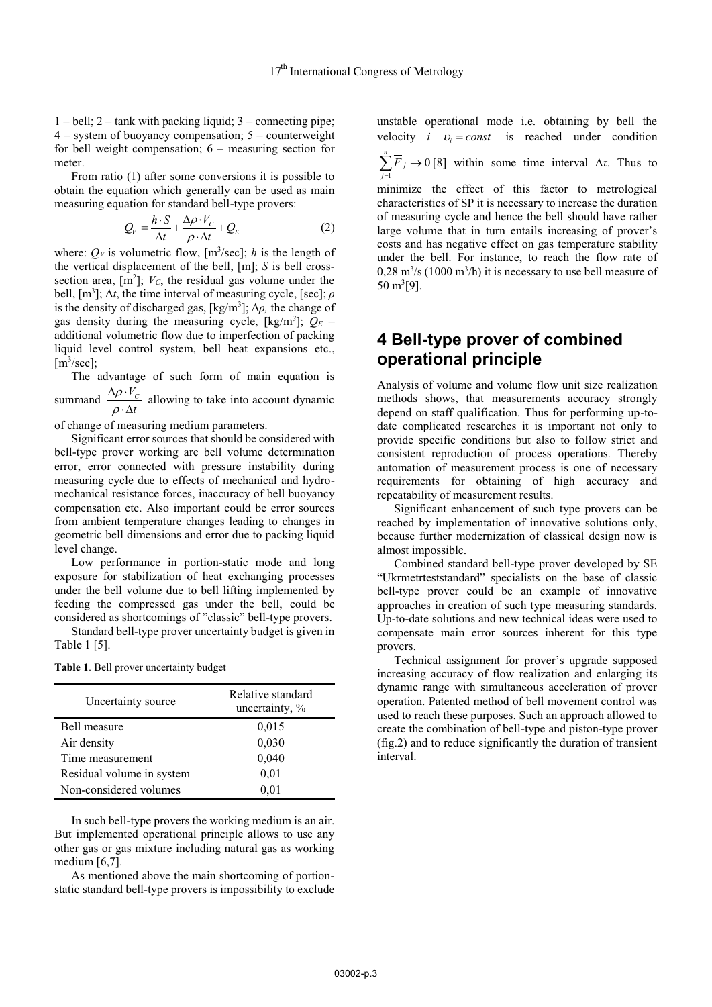1 – bell; 2 – tank with packing liquid; 3 – connecting pipe; 4 – system of buoyancy compensation; 5 – counterweight for bell weight compensation; 6 – measuring section for meter.

From ratio (1) after some conversions it is possible to obtain the equation which generally can be used as main measuring equation for standard bell-type provers:

$$
Q_V = \frac{h \cdot S}{\Delta t} + \frac{\Delta \rho \cdot V_C}{\rho \cdot \Delta t} + Q_E
$$
 (2)

where:  $Q_V$  is volumetric flow, [m<sup>3</sup>/sec]; *h* is the length of the vertical displacement of the bell, [m]; *S* is bell crosssection area,  $[m^2]$ ;  $V_c$ , the residual gas volume under the bell, [m3 ]; Δ*t*, the time interval of measuring cycle, [sec]; *ρ* is the density of discharged gas, [kg/m3 ]; Δ*ρ,* the change of gas density during the measuring cycle, [kg/m*<sup>3</sup>* ]; *Q<sup>Е</sup>* – additional volumetric flow due to imperfection of packing liquid level control system, bell heat expansions etc.,  $[m<sup>3</sup>/sec]$ ;

The advantage of such form of main equation is  $\rho$  $\Delta \rho \cdot$ 

summand  $\frac{\Delta \rho \cdot V_c}{\rho}$ *t*  $\rho$  $\frac{C}{\Delta t}$  allowing to take into account dynamic

of change of measuring medium parameters.

Significant error sources that should be considered with bell-type prover working are bell volume determination error, error connected with pressure instability during measuring cycle due to effects of mechanical and hydromechanical resistance forces, inaccuracy of bell buoyancy compensation etc. Also important could be error sources from ambient temperature changes leading to changes in geometric bell dimensions and error due to packing liquid level change.

Low performance in portion-static mode and long exposure for stabilization of heat exchanging processes under the bell volume due to bell lifting implemented by feeding the compressed gas under the bell, could be considered as shortcomings of "classic" bell-type provers.

Standard bell-type prover uncertainty budget is given in Table 1 [5].

|  |  | Table 1. Bell prover uncertainty budget |  |
|--|--|-----------------------------------------|--|
|  |  |                                         |  |

| Uncertainty source        | Relative standard<br>uncertainty, % |  |
|---------------------------|-------------------------------------|--|
| Bell measure              | 0,015                               |  |
| Air density               | 0,030                               |  |
| Time measurement          | 0,040                               |  |
| Residual volume in system | 0,01                                |  |
| Non-considered volumes    | 0,01                                |  |

In such bell-type provers the working medium is an air. But implemented operational principle allows to use any other gas or gas mixture including natural gas as working medium [6,7].

As mentioned above the main shortcoming of portionstatic standard bell-type provers is impossibility to exclude unstable operational mode i.e. obtaining by bell the velocity *i*  $v_i = const$  is reached under condition

1  $\sum_{j=1}^{n} \overline{F}_{j} \rightarrow 0$ *j j F*  $\sum_{j=1} F_j \rightarrow 0$  [8] within some time interval  $\Delta \tau$ . Thus to

minimize the effect of this factor to metrological characteristics of SP it is necessary to increase the duration of measuring cycle and hence the bell should have rather large volume that in turn entails increasing of prover's costs and has negative effect on gas temperature stability under the bell. For instance, to reach the flow rate of  $0,28 \text{ m}^3/\text{s}$  (1000 m<sup>3</sup>/h) it is necessary to use bell measure of 50 m3 [9].

### **4 Bell-type prover of combined operational principle**

Analysis of volume and volume flow unit size realization methods shows, that measurements accuracy strongly depend on staff qualification. Thus for performing up-todate complicated researches it is important not only to provide specific conditions but also to follow strict and consistent reproduction of process operations. Thereby automation of measurement process is one of necessary requirements for obtaining of high accuracy and repeatability of measurement results.

Significant enhancement of such type provers can be reached by implementation of innovative solutions only, because further modernization of classical design now is almost impossible.

Combined standard bell-type prover developed by SE "Ukrmetrteststandard" specialists on the base of classic bell-type prover could be an example of innovative approaches in creation of such type measuring standards. Up-to-date solutions and new technical ideas were used to compensate main error sources inherent for this type provers.

Technical assignment for prover's upgrade supposed increasing accuracy of flow realization and enlarging its dynamic range with simultaneous acceleration of prover operation. Patented method of bell movement control was used to reach these purposes. Such an approach allowed to create the combination of bell-type and piston-type prover (fig.2) and to reduce significantly the duration of transient interval.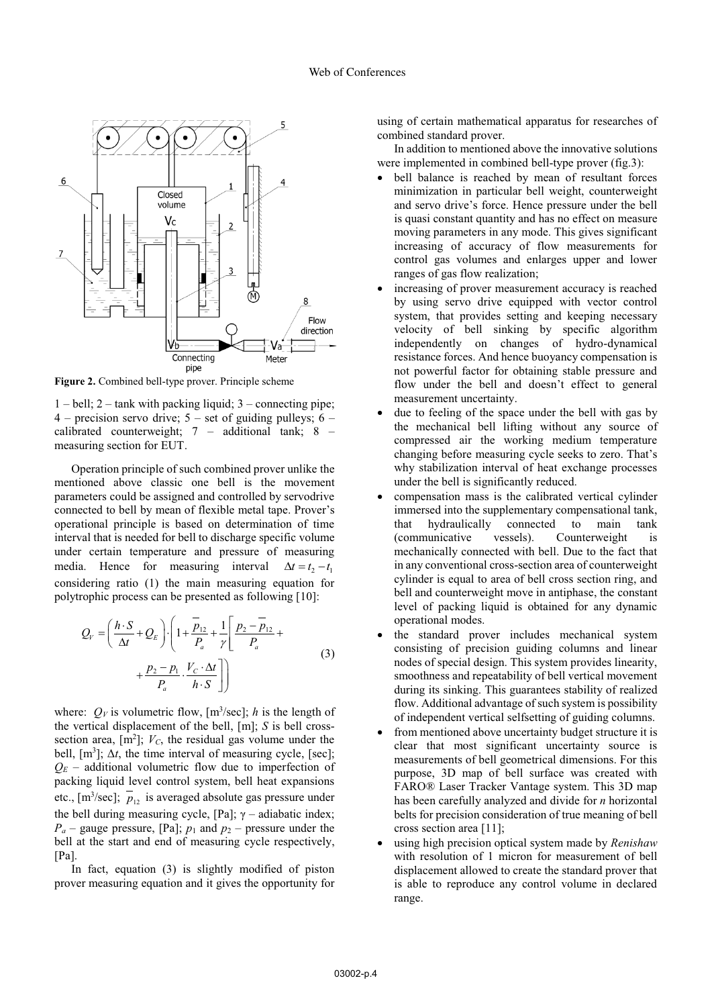

**Figure 2.** Combined bell-type prover. Principle scheme

 $1 - \text{bell}$ ;  $2 - \text{rank with packing liquid}$ ;  $3 - \text{connecting pipe}$ ;  $4$  – precision servo drive;  $5$  – set of guiding pulleys;  $6$  – calibrated counterweight; 7 – additional tank; 8 – measuring section for EUT.

Operation principle of such combined prover unlike the mentioned above classic one bell is the movement parameters could be assigned and controlled by servodrive connected to bell by mean of flexible metal tape. Prover's operational principle is based on determination of time interval that is needed for bell to discharge specific volume under certain temperature and pressure of measuring media. Hence for measuring interval  $\Delta t = t_2 - t_1$ considering ratio (1) the main measuring equation for polytrophic process can be presented as following [10]:

$$
Q_{V} = \left(\frac{h \cdot S}{\Delta t} + Q_{E}\right) \cdot \left(1 + \frac{\overline{p}_{12}}{P_{a}} + \frac{1}{\gamma} \left[\frac{p_{2} - \overline{p}_{12}}{P_{a}} + \frac{p_{2} - p_{1}}{P_{a}} + \frac{p_{2} - p_{1}}{P_{a}} \cdot \frac{V_{C} \cdot \Delta t}{h \cdot S}\right]\right)
$$
(3)

where:  $Q_V$  is volumetric flow,  $[m^3/\text{sec}]$ ; *h* is the length of the vertical displacement of the bell, [m]; *S* is bell crosssection area,  $[m^2]$ ;  $V_c$ , the residual gas volume under the bell,  $[m<sup>3</sup>]$ ;  $\Delta t$ , the time interval of measuring cycle, [sec];  $Q_E$  – additional volumetric flow due to imperfection of packing liquid level control system, bell heat expansions etc.,  $[m^3/\text{sec}]$ ;  $p_{12}$  is averaged absolute gas pressure under the bell during measuring cycle, [Pa];  $\gamma$  – adiabatic index;  $P_a$  – gauge pressure, [Pa];  $p_1$  and  $p_2$  – pressure under the bell at the start and end of measuring cycle respectively,  $[Pa]$ .

In fact, equation (3) is slightly modified of piston prover measuring equation and it gives the opportunity for using of certain mathematical apparatus for researches of combined standard prover.

In addition to mentioned above the innovative solutions were implemented in combined bell-type prover (fig.3):

- bell balance is reached by mean of resultant forces minimization in particular bell weight, counterweight and servo drive's force. Hence pressure under the bell is quasi constant quantity and has no effect on measure moving parameters in any mode. This gives significant increasing of accuracy of flow measurements for control gas volumes and enlarges upper and lower ranges of gas flow realization;
- $\bullet$  increasing of prover measurement accuracy is reached by using servo drive equipped with vector control system, that provides setting and keeping necessary velocity of bell sinking by specific algorithm independently on changes of hydro-dynamical resistance forces. And hence buoyancy compensation is not powerful factor for obtaining stable pressure and flow under the bell and doesn't effect to general measurement uncertainty.
- $\bullet$  due to feeling of the space under the bell with gas by the mechanical bell lifting without any source of compressed air the working medium temperature changing before measuring cycle seeks to zero. That's why stabilization interval of heat exchange processes under the bell is significantly reduced.
- $\bullet$  compensation mass is the calibrated vertical cylinder immersed into the supplementary compensational tank, that hydraulically connected to main tank (communicative vessels). Counterweight is mechanically connected with bell. Due to the fact that in any conventional cross-section area of counterweight cylinder is equal to area of bell cross section ring, and bell and counterweight move in antiphase, the constant level of packing liquid is obtained for any dynamic operational modes.
- the standard prover includes mechanical system consisting of precision guiding columns and linear nodes of special design. This system provides linearity, smoothness and repeatability of bell vertical movement during its sinking. This guarantees stability of realized flow. Additional advantage of such system is possibility of independent vertical selfsetting of guiding columns.
- from mentioned above uncertainty budget structure it is clear that most significant uncertainty source is measurements of bell geometrical dimensions. For this purpose, 3D map of bell surface was created with FARO® Laser Tracker Vantage system. This 3D map has been carefully analyzed and divide for *n* horizontal belts for precision consideration of true meaning of bell cross section area [11];
- using high precision optical system made by *Renishaw* with resolution of 1 micron for measurement of bell displacement allowed to create the standard prover that is able to reproduce any control volume in declared range.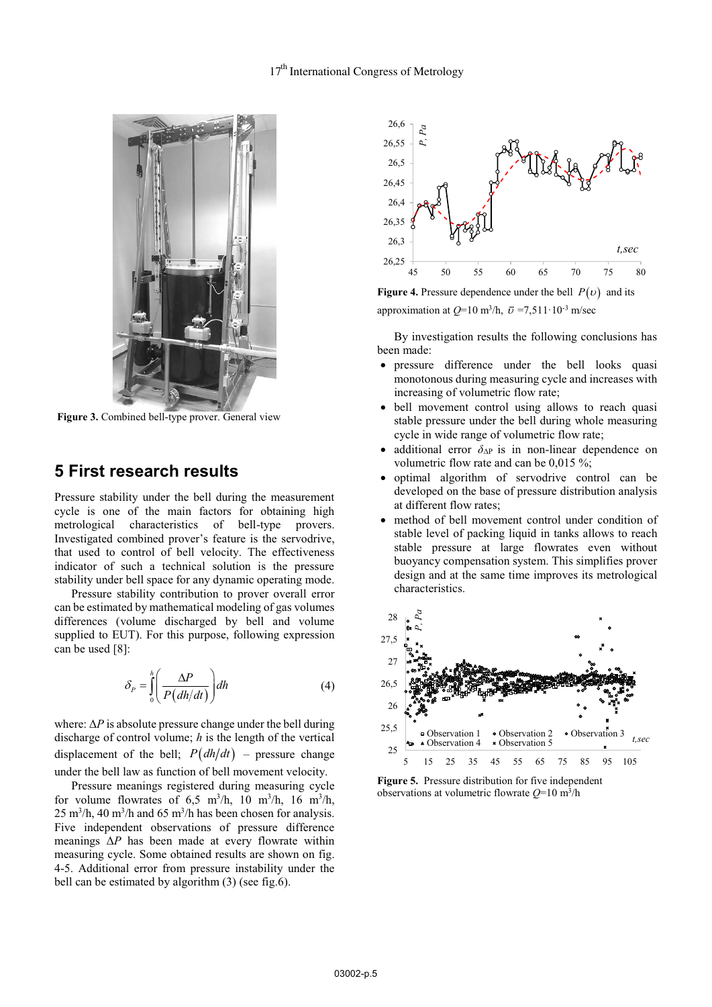

 **Figure 3.** Combined bell-type prover. General view

### **5 First research results**

Pressure stability under the bell during the measurement cycle is one of the main factors for obtaining high metrological characteristics of bell-type provers. Investigated combined prover's feature is the servodrive, that used to control of bell velocity. The effectiveness indicator of such a technical solution is the pressure stability under bell space for any dynamic operating mode.

Pressure stability contribution to prover overall error can be estimated by mathematical modeling of gas volumes differences (volume discharged by bell and volume supplied to EUT). For this purpose, following expression can be used [8]:

$$
\delta_P = \int_0^h \left( \frac{\Delta P}{P(dh/dt)} \right) dh \tag{4}
$$

where:  $\Delta P$  is absolute pressure change under the bell during discharge of control volume; *h* is the length of the vertical displacement of the bell:  $P(dh/dt)$  – pressure change under the bell law as function of bell movement velocity.

Pressure meanings registered during measuring cycle for volume flowrates of 6,5 m<sup>3</sup>/h, 10 m<sup>3</sup>/h, 16 m<sup>3</sup>/h,  $25 \text{ m}^3/\text{h}$ , 40 m<sup>3</sup>/h and 65 m<sup>3</sup>/h has been chosen for analysis. Five independent observations of pressure difference meanings Δ*Р* has been made at every flowrate within measuring cycle. Some obtained results are shown on fig. 4-5. Additional error from pressure instability under the bell can be estimated by algorithm (3) (see fig.6).



**Figure 4.** Pressure dependence under the bell  $P(v)$  and its approximation at  $Q=10$  m<sup>3</sup>/h,  $\bar{v}$  =7,511·10<sup>-3</sup> m/sec

By investigation results the following conclusions has been made:

- pressure difference under the bell looks quasi monotonous during measuring cycle and increases with increasing of volumetric flow rate;
- bell movement control using allows to reach quasi stable pressure under the bell during whole measuring cycle in wide range of volumetric flow rate;
- $\bullet$ additional error  $\delta_{\Delta P}$  is in non-linear dependence on volumetric flow rate and can be 0,015 %;
- $\bullet$  optimal algorithm of servodrive control can be developed on the base of pressure distribution analysis at different flow rates;
- $\bullet$  method of bell movement control under condition of stable level of packing liquid in tanks allows to reach stable pressure at large flowrates even without buoyancy compensation system. This simplifies prover design and at the same time improves its metrological characteristics.



**Figure 5.** Pressure distribution for five independent observations at volumetric flowrate *Q*=10 m3/h